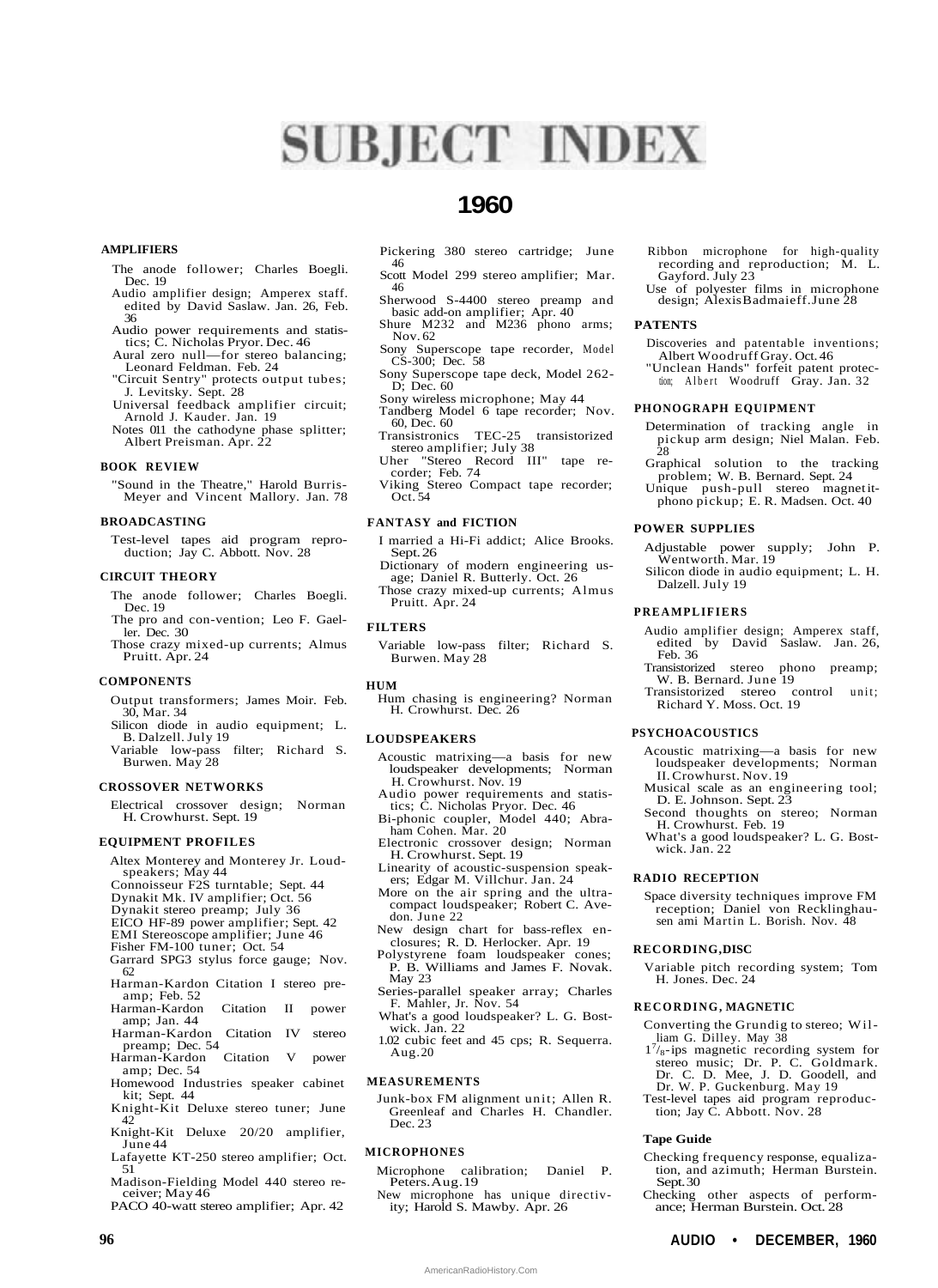# **SUBJECT INDEX**

# **1960**

# **AMPLIFIERS**

- The anode follower; Charles Boegli. Dec. 19
- Audio amplifier design; Amperex staff. edited by David Saslaw. Jan. 26, Feb. 36
- Audio power requirements and statistics; C. Nicholas Pryor. Dec. 46
- Aural zero null—for stereo balancing; Leonard Feldman. Feb. 24
- "Circuit Sentry" protects output tubes; J. Levitsky. Sept. 28
- Universal feedback amplifier circuit; Arnold J. Kauder. Jan. 19
- Notes 011 the cathodyne phase splitter; Albert Preisman. Apr. 22

# **BOOK REVIEW**

"Sound in the Theatre," Harold Burris-Meyer and Vincent Mallory. Jan. 78

#### **BROADCASTING**

Test-level tapes aid program reproduction; Jay C. Abbott. Nov. 28

# **CIRCUIT THEORY**

- The anode follower; Charles Boegli. Dec. 19
- The pro and con-vention; Leo F. Gaeller. Dec. 30
- Those crazy mixed-up currents; Almus Pruitt. Apr. 24

# **COMPONENTS**

- Output transformers; James Moir. Feb. 30, Mar. 34
- Silicon diode in audio equipment; L. B. Dalzell. July 19
- Variable low-pass filter; Richard S. Burwen. May 28

# **CROSSOVER NETWORKS**

Electrical crossover design; Norman H. Crowhurst. Sept. 19

#### **EQUIPMENT PROFILES**

- Altex Monterey and Monterey Jr. Loudspeakers; May 44
- Connoisseur F2S turntable; Sept. 44
- Dynakit Mk. IV amplifier; Oct. 56
- Dynakit stereo preamp; July 36
- EICO HF-89 power amplifier; Sept. 42
- EMI Stereoscope amplifier; June 46
- Fisher FM-100 tuner; Oct. 54
- Garrard SPG3 stylus force gauge; Nov. 62
- Harman-Kardon Citation I stereo preamp; Feb. 52
- Harman-Kardon Citation II power amp; Jan. 44
- Harman-Kardon Citation IV stereo preamp; Dec. 54<br>arman-Kardon Citation
- Harman-Kardon Citation V power amp; Dec. 54
- Homewood Industries speaker cabinet kit; Sept. 44
- Knight-Kit Deluxe stereo tuner; June 42
- Knight-Kit Deluxe 20/20 amplifier, June 44
- Lafayette KT-250 stereo amplifier; Oct. 51
- Madison-Fielding Model 440 stereo receiver; May 46
- PACO 40-watt stereo amplifier; Apr. 42
- Pickering 380 stereo cartridge; June 46
- Scott Model 299 stereo amplifier; Mar. 46
- Sherwood S-4400 stereo preamp and basic add-on amplifier; Apr. 40 Shure M232 and M236 phono arms;
- Nov. 62 Sony Superscope tape recorder, Model CS-300; Dec. 58
- Sony Superscope tape deck, Model 262-
- D; Dec. 60 Sony wireless microphone; May 44
- Tandberg Model 6 tape recorder; Nov. 60, Dec. 60
- TEC-25 transistorized stereo amplifier; July 38
- Uher "Stereo Record III" tape re-corder; Feb. 74
- Viking Stereo Compact tape recorder; Oct. 54

# **FANTASY and FICTION**

- I married a Hi-Fi addict; Alice Brooks. Sept. 26
- Dictionary of modern engineering usage; Daniel R. Butterly. Oct. 26
- Those crazy mixed-up currents; Almus Pruitt. Apr. 24

# **FILTERS**

Variable low-pass filter; Richard S. Burwen. May 28

#### **HUM**

Hum chasing is engineering? Norman H. Crowhurst. Dec. 26

# **LOUDSPEAKERS**

- Acoustic matrixing—a basis for new loudspeaker developments; Norman H. Crowhurst. Nov. 19
- Audio power requirements and statis-tics; C. Nicholas Pryor. Dec. 46
- Bi-phonic coupler, Model 440; Abraham Cohen. Mar. 20
- Electronic crossover design; Norman H. Crowhurst. Sept. 19
- Linearity of acoustic-suspension speakers; Edgar M. Villchur. Jan. 24

More on the air spring and the ultracompact loudspeaker; Robert C. Avedon. June 22

New design chart for bass-reflex enclosures; R. D. Herlocker. Apr. 19

- Polystyrene foam loudspeaker cones; P. B. Williams and James F. Novak. May 23
- Series-parallel speaker array; Charles F. Mahler, Jr. Nov. 54
- What's a good loudspeaker? L. G. Bostwick. Jan. 22
- 1.02 cubic feet and 45 cps; R. Sequerra. Aug. 20

#### **MEASUREMENTS**

Junk-box FM alignment unit; Allen R. Greenleaf and Charles H. Chandler. Dec. 23

#### **MICROPHONES**

- Microphone calibration; Daniel P. Peters. Aug. 19
- New microphone has unique directivity; Harold S. Mawby. Apr. 26

**96 AUDIO • DECEMBER, 1960**

AmericanRadioHistory.Com

- Ribbon microphone for high-quality recording and reproduction;  $\dot{M}$ . L. Gayford. July 23
- Use of polyester films in microphone design; Alexis Badmaieff. June 28

# **PATENTS**

- Discoveries and patentable inventions; Albert Woodruff Gray. Oct. 46
- "Unclean Hands" forfeit patent protection; Albert Woodruff Gray. Jan. 32

#### **PHONOGRAPH EQUIPMENT**

- Determination of tracking angle in pickup arm design; Niel Malan. Feb. 28
- Graphical solution to the tracking problem; W. B. Bernard. Sept. 24
- Unique push-pull stereo magnet itphono pickup; E. R. Madsen. Oct. 40

# **POWER SUPPLIES**

- Adjustable power supply; John P. Wentworth. Mar. 19
- Silicon diode in audio equipment; L. H. Dalzell. July 19

#### **PREAMPLIFIERS**

- Audio amplifier design; Amperex staff, edited by David Saslaw. Jan. 26, Feb. 36
- Transistorized stereo phono preamp; W. B. Bernard. June 19 Transistorized stereo control unit;
- Richard Y. Moss. Oct. 19

#### **PSYCHOACOUSTICS**

- Acoustic matrixing—a basis for new loudspeaker developments; Norman II. Crowhurst. Nov. 19
- Musical scale as an engineering tool; D. E. Johnson. Sept. 23
- Second thoughts on stereo; Norman H. Crowhurst. Feb. 19

What's a good loudspeaker? L. G. Bostwick. Jan. 22

Space diversity techniques improve FM reception; Daniel von Recklinghausen ami Martin L. Borish. Nov. 48

Variable pitch recording system; Tom

Converting the Grundig to stereo; Wil-liam G. Dilley. May 38 1 7 /8 - ips magnetic recording system for stereo music; Dr. P. C. Goldmark. Dr. C. D. Mee, J. D. Goodell, and Dr. W. P. Guckenburg. May 19 Test-level tapes aid program reproduction; Jay C. Abbott. Nov. 28

Checking frequency response, equalization, and azimuth; Herman Burstein.

Checking other aspects of perform-ance; Herman Burstein. Oct. 28

# **RADIO RECEPTION**

**RECORDING, DISC**

**Tape Guide**

Sept. 30

H. Jones. Dec. 24 **RECORDING, MAGNETIC**